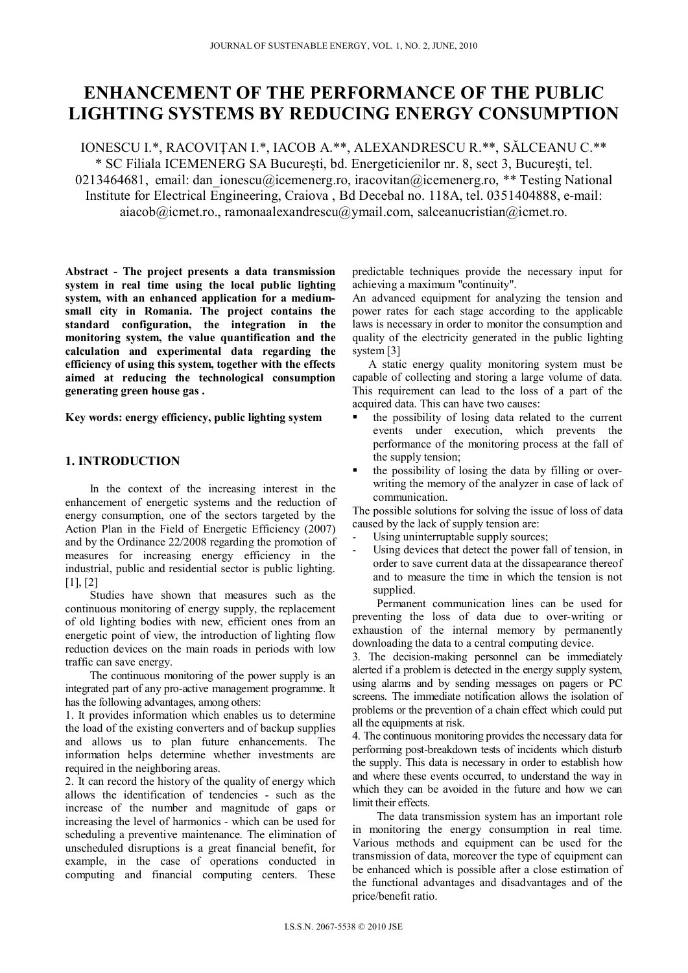# **ENHANCEMENT OF THE PERFORMANCE OF THE PUBLIC LIGHTING SYSTEMS BY REDUCING ENERGY CONSUMPTION**

IONESCU I.\*, RACOVIŢAN I.\*, IACOB A.\*\*, ALEXANDRESCU R.\*\*, SĂLCEANU C.\*\* \* SC Filiala ICEMENERG SA Bucureşti, bd. Energeticienilor nr. 8, sect 3, Bucureşti, tel. 0213464681, email: dan ionescu@icemenerg.ro, iracovitan@icemenerg.ro, \*\* Testing National Institute for Electrical Engineering, Craiova , Bd Decebal no. 118A, tel. 0351404888, e-mail: aiacob@icmet.ro., ramonaalexandrescu@ymail.com, salceanucristian@icmet.ro.

**Abstract - The project presents a data transmission system in real time using the local public lighting system, with an enhanced application for a mediumsmall city in Romania. The project contains the standard configuration, the integration in the monitoring system, the value quantification and the calculation and experimental data regarding the efficiency of using this system, together with the effects aimed at reducing the technological consumption generating green house gas .** 

**Key words: energy efficiency, public lighting system** 

# **1. INTRODUCTION**

In the context of the increasing interest in the enhancement of energetic systems and the reduction of energy consumption, one of the sectors targeted by the Action Plan in the Field of Energetic Efficiency (2007) and by the Ordinance 22/2008 regarding the promotion of measures for increasing energy efficiency in the industrial, public and residential sector is public lighting. [1], [2]

Studies have shown that measures such as the continuous monitoring of energy supply, the replacement of old lighting bodies with new, efficient ones from an energetic point of view, the introduction of lighting flow reduction devices on the main roads in periods with low traffic can save energy.

The continuous monitoring of the power supply is an integrated part of any pro-active management programme. It has the following advantages, among others:

1. It provides information which enables us to determine the load of the existing converters and of backup supplies and allows us to plan future enhancements. The information helps determine whether investments are required in the neighboring areas.

2. It can record the history of the quality of energy which allows the identification of tendencies - such as the increase of the number and magnitude of gaps or increasing the level of harmonics - which can be used for scheduling a preventive maintenance. The elimination of unscheduled disruptions is a great financial benefit, for example, in the case of operations conducted in computing and financial computing centers. These

predictable techniques provide the necessary input for achieving a maximum "continuity".

An advanced equipment for analyzing the tension and power rates for each stage according to the applicable laws is necessary in order to monitor the consumption and quality of the electricity generated in the public lighting system [3]

A static energy quality monitoring system must be capable of collecting and storing a large volume of data. This requirement can lead to the loss of a part of the acquired data. This can have two causes:

- the possibility of losing data related to the current events under execution, which prevents the performance of the monitoring process at the fall of the supply tension;
- the possibility of losing the data by filling or overwriting the memory of the analyzer in case of lack of communication.

The possible solutions for solving the issue of loss of data caused by the lack of supply tension are:

- Using uninterruptable supply sources;
- Using devices that detect the power fall of tension, in order to save current data at the dissapearance thereof and to measure the time in which the tension is not supplied.

Permanent communication lines can be used for preventing the loss of data due to over-writing or exhaustion of the internal memory by permanently downloading the data to a central computing device.

3. The decision-making personnel can be immediately alerted if a problem is detected in the energy supply system, using alarms and by sending messages on pagers or PC screens. The immediate notification allows the isolation of problems or the prevention of a chain effect which could put all the equipments at risk.

4. The continuous monitoring provides the necessary data for performing post-breakdown tests of incidents which disturb the supply. This data is necessary in order to establish how and where these events occurred, to understand the way in which they can be avoided in the future and how we can limit their effects.

The data transmission system has an important role in monitoring the energy consumption in real time. Various methods and equipment can be used for the transmission of data, moreover the type of equipment can be enhanced which is possible after a close estimation of the functional advantages and disadvantages and of the price/benefit ratio.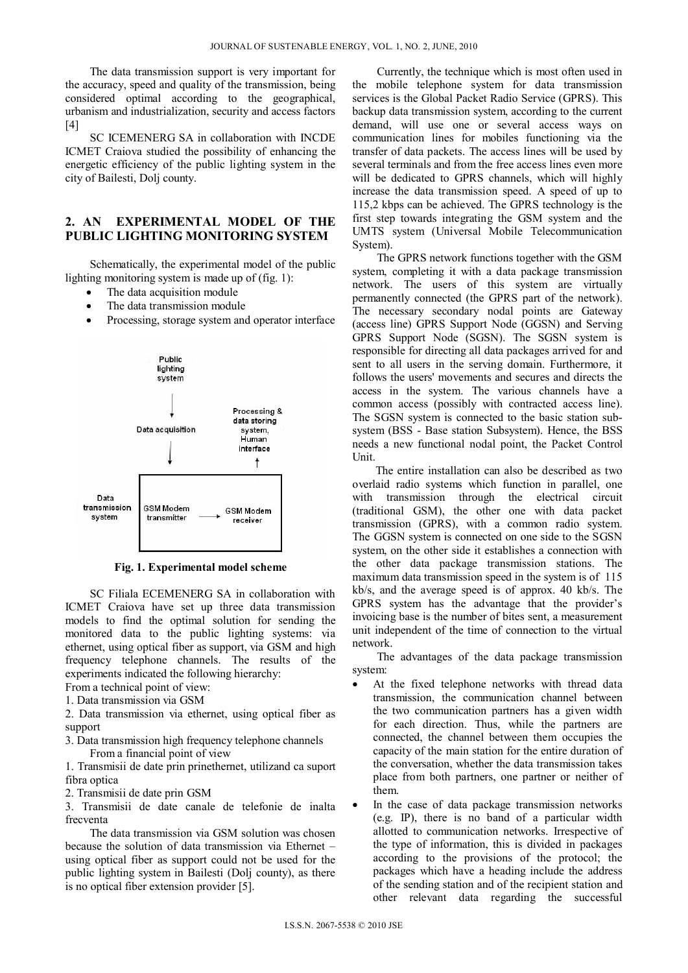The data transmission support is very important for the accuracy, speed and quality of the transmission, being considered optimal according to the geographical, urbanism and industrialization, security and access factors  $[4]$ 

SC ICEMENERG SA in collaboration with INCDE ICMET Craiova studied the possibility of enhancing the energetic efficiency of the public lighting system in the city of Bailesti, Dolj county.

## **2. AN EXPERIMENTAL MODEL OF THE PUBLIC LIGHTING MONITORING SYSTEM**

Schematically, the experimental model of the public lighting monitoring system is made up of (fig. 1):

- The data acquisition module
- The data transmission module
- Processing, storage system and operator interface



**Fig. 1. Experimental model scheme** 

SC Filiala ECEMENERG SA in collaboration with ICMET Craiova have set up three data transmission models to find the optimal solution for sending the monitored data to the public lighting systems: via ethernet, using optical fiber as support, via GSM and high frequency telephone channels. The results of the experiments indicated the following hierarchy:

From a technical point of view:

1. Data transmission via GSM

2. Data transmission via ethernet, using optical fiber as support

3. Data transmission high frequency telephone channels From a financial point of view

1. Transmisii de date prin prinethernet, utilizand ca suport fibra optica

2. Transmisii de date prin GSM

3. Transmisii de date canale de telefonie de inalta frecventa

The data transmission via GSM solution was chosen because the solution of data transmission via Ethernet – using optical fiber as support could not be used for the public lighting system in Bailesti (Dolj county), as there is no optical fiber extension provider [5].

Currently, the technique which is most often used in the mobile telephone system for data transmission services is the Global Packet Radio Service (GPRS). This backup data transmission system, according to the current demand, will use one or several access ways on communication lines for mobiles functioning via the transfer of data packets. The access lines will be used by several terminals and from the free access lines even more will be dedicated to GPRS channels, which will highly increase the data transmission speed. A speed of up to 115,2 kbps can be achieved. The GPRS technology is the first step towards integrating the GSM system and the UMTS system (Universal Mobile Telecommunication System).

The GPRS network functions together with the GSM system, completing it with a data package transmission network. The users of this system are virtually permanently connected (the GPRS part of the network). The necessary secondary nodal points are Gateway (access line) GPRS Support Node (GGSN) and Serving GPRS Support Node (SGSN). The SGSN system is responsible for directing all data packages arrived for and sent to all users in the serving domain. Furthermore, it follows the users' movements and secures and directs the access in the system. The various channels have a common access (possibly with contracted access line). The SGSN system is connected to the basic station subsystem (BSS - Base station Subsystem). Hence, the BSS needs a new functional nodal point, the Packet Control Unit.

 The entire installation can also be described as two overlaid radio systems which function in parallel, one with transmission through the electrical circuit transmission through the electrical circuit (traditional GSM), the other one with data packet transmission (GPRS), with a common radio system. The GGSN system is connected on one side to the SGSN system, on the other side it establishes a connection with the other data package transmission stations. The maximum data transmission speed in the system is of 115 kb/s, and the average speed is of approx. 40 kb/s. The GPRS system has the advantage that the provider's invoicing base is the number of bites sent, a measurement unit independent of the time of connection to the virtual network.

The advantages of the data package transmission system:

- At the fixed telephone networks with thread data transmission, the communication channel between the two communication partners has a given width for each direction. Thus, while the partners are connected, the channel between them occupies the capacity of the main station for the entire duration of the conversation, whether the data transmission takes place from both partners, one partner or neither of them.
- In the case of data package transmission networks (e.g. IP), there is no band of a particular width allotted to communication networks. Irrespective of the type of information, this is divided in packages according to the provisions of the protocol; the packages which have a heading include the address of the sending station and of the recipient station and other relevant data regarding the successful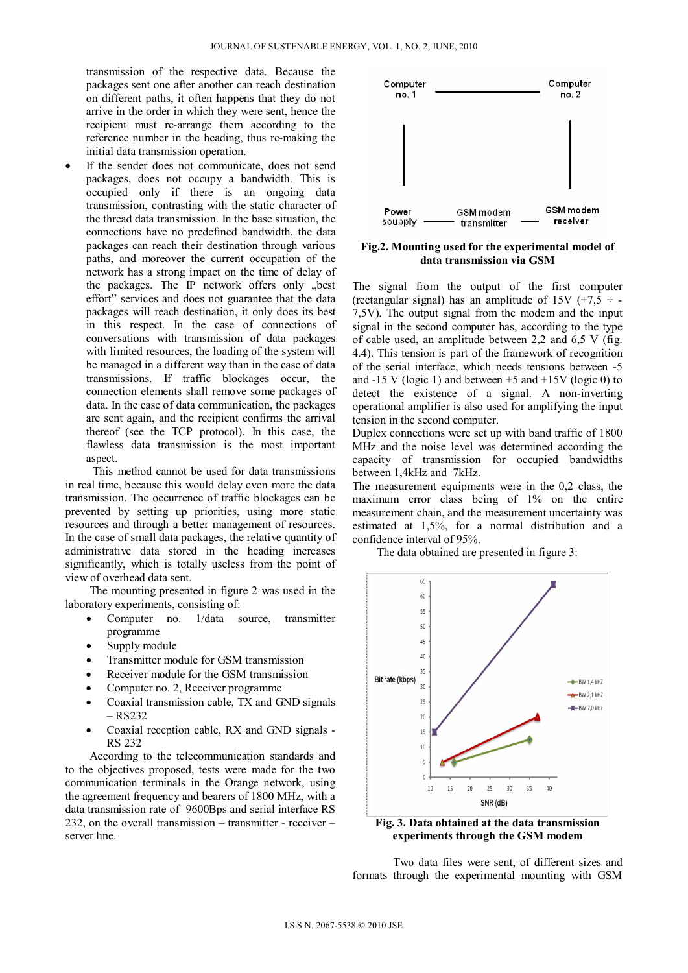transmission of the respective data. Because the packages sent one after another can reach destination on different paths, it often happens that they do not arrive in the order in which they were sent, hence the recipient must re-arrange them according to the reference number in the heading, thus re-making the initial data transmission operation.

 If the sender does not communicate, does not send packages, does not occupy a bandwidth. This is occupied only if there is an ongoing data transmission, contrasting with the static character of the thread data transmission. In the base situation, the connections have no predefined bandwidth, the data packages can reach their destination through various paths, and moreover the current occupation of the network has a strong impact on the time of delay of the packages. The IP network offers only "best effort" services and does not guarantee that the data packages will reach destination, it only does its best in this respect. In the case of connections of conversations with transmission of data packages with limited resources, the loading of the system will be managed in a different way than in the case of data transmissions. If traffic blockages occur, the connection elements shall remove some packages of data. In the case of data communication, the packages are sent again, and the recipient confirms the arrival thereof (see the TCP protocol). In this case, the flawless data transmission is the most important aspect

 This method cannot be used for data transmissions in real time, because this would delay even more the data transmission. The occurrence of traffic blockages can be prevented by setting up priorities, using more static resources and through a better management of resources. In the case of small data packages, the relative quantity of administrative data stored in the heading increases significantly, which is totally useless from the point of view of overhead data sent.

The mounting presented in figure 2 was used in the laboratory experiments, consisting of:

- Computer no. 1/data source, transmitter programme
- Supply module
- Transmitter module for GSM transmission
- Receiver module for the GSM transmission
- Computer no. 2, Receiver programme
- Coaxial transmission cable, TX and GND signals – RS232
- Coaxial reception cable, RX and GND signals -RS 232

According to the telecommunication standards and to the objectives proposed, tests were made for the two communication terminals in the Orange network, using the agreement frequency and bearers of 1800 MHz, with a data transmission rate of 9600Bps and serial interface RS 232, on the overall transmission – transmitter - receiver – server line.



**Fig.2. Mounting used for the experimental model of data transmission via GSM** 

The signal from the output of the first computer (rectangular signal) has an amplitude of 15V  $(+7.5 \div -$ 7,5V). The output signal from the modem and the input signal in the second computer has, according to the type of cable used, an amplitude between 2,2 and 6,5 V (fig. 4.4). This tension is part of the framework of recognition of the serial interface, which needs tensions between -5 and  $-15$  V (logic 1) and between  $+5$  and  $+15$ V (logic 0) to detect the existence of a signal. A non-inverting operational amplifier is also used for amplifying the input tension in the second computer.

Duplex connections were set up with band traffic of 1800 MHz and the noise level was determined according the capacity of transmission for occupied bandwidths between 1,4kHz and 7kHz.

The measurement equipments were in the 0,2 class, the maximum error class being of 1% on the entire measurement chain, and the measurement uncertainty was estimated at 1,5%, for a normal distribution and a confidence interval of 95%.

The data obtained are presented in figure 3:



**Fig. 3. Data obtained at the data transmission experiments through the GSM modem** 

Two data files were sent, of different sizes and formats through the experimental mounting with GSM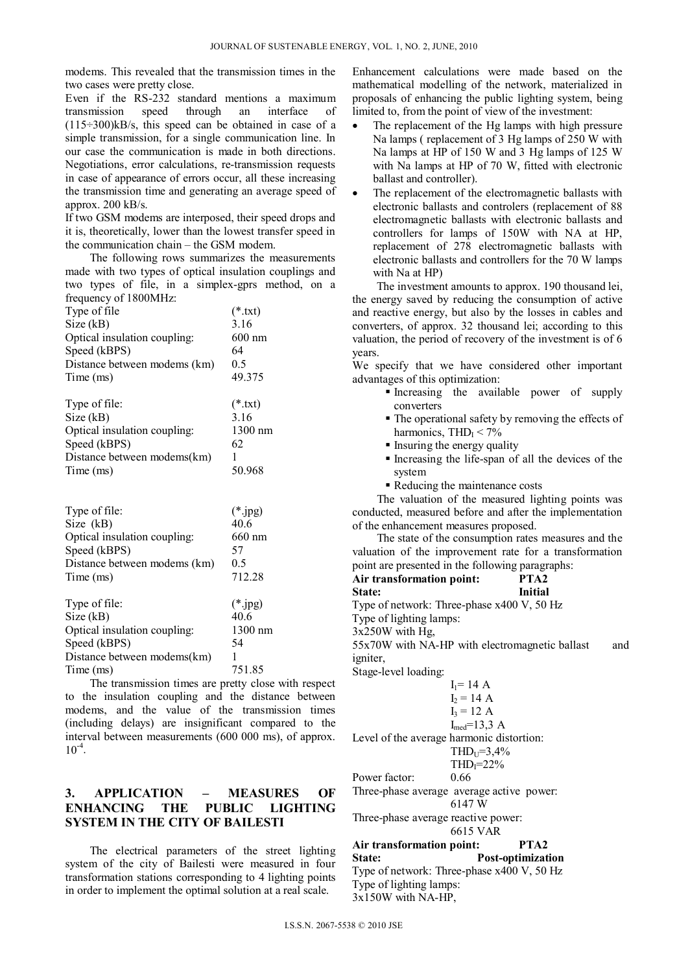modems. This revealed that the transmission times in the two cases were pretty close.

Even if the RS-232 standard mentions a maximum<br>transmission speed through an interface of transmission speed through an interface of  $(115-300)$ kB/s, this speed can be obtained in case of a simple transmission, for a single communication line. In our case the communication is made in both directions. Negotiations, error calculations, re-transmission requests in case of appearance of errors occur, all these increasing the transmission time and generating an average speed of approx. 200 kB/s.

If two GSM modems are interposed, their speed drops and it is, theoretically, lower than the lowest transfer speed in the communication chain – the GSM modem.

The following rows summarizes the measurements made with two types of optical insulation couplings and two types of file, in a simplex-gprs method, on a frequency of 1800MHz:

| $1.000$ $0.010$ , $0.000$ $0.01$ |           |
|----------------------------------|-----------|
| Type of file                     | $(*.txt)$ |
| Size(kB)                         | 3.16      |
| Optical insulation coupling:     | $600$ nm  |
| Speed (kBPS)                     | 64        |
| Distance between modems (km)     | 0.5       |
| Time (ms)                        | 49.375    |
|                                  |           |

| Type of file:                | $(*.txt)$ |
|------------------------------|-----------|
| Size(kB)                     | 3.16      |
| Optical insulation coupling: | $1300$ nm |
| Speed (kBPS)                 | 62        |
| Distance between modems(km)  |           |
| Time (ms)                    | 50.968    |

| Type of file:                            | $(*.jpg)$ |
|------------------------------------------|-----------|
| Size (kB)                                | 40.6      |
| Optical insulation coupling:             | 660 nm    |
| Speed (kBPS)                             | 57        |
| Distance between modems (km)             | 0.5       |
| Time (ms)                                | 712.28    |
| Type of file:                            | $(*.jpg)$ |
| Size(kB)                                 | 40.6      |
| Optical insulation coupling:             | 1300 nm   |
| Speed (kBPS)                             | 54        |
| Distance between modems(km)<br>Time (ms) | 751.85    |

The transmission times are pretty close with respect to the insulation coupling and the distance between modems, and the value of the transmission times (including delays) are insignificant compared to the interval between measurements (600 000 ms), of approx.  $10^{-4}$ .

# **3. APPLICATION – MEASURES OF ENHANCING THE PUBLIC LIGHTING SYSTEM IN THE CITY OF BAILESTI**

The electrical parameters of the street lighting system of the city of Bailesti were measured in four transformation stations corresponding to 4 lighting points in order to implement the optimal solution at a real scale.

Enhancement calculations were made based on the mathematical modelling of the network, materialized in proposals of enhancing the public lighting system, being limited to, from the point of view of the investment:

- The replacement of the Hg lamps with high pressure Na lamps ( replacement of 3 Hg lamps of 250 W with Na lamps at HP of 150 W and 3 Hg lamps of 125 W with Na lamps at HP of 70 W, fitted with electronic ballast and controller).
- The replacement of the electromagnetic ballasts with electronic ballasts and controlers (replacement of 88 electromagnetic ballasts with electronic ballasts and controllers for lamps of 150W with NA at HP, replacement of 278 electromagnetic ballasts with electronic ballasts and controllers for the 70 W lamps with Na at HP)

The investment amounts to approx. 190 thousand lei, the energy saved by reducing the consumption of active and reactive energy, but also by the losses in cables and converters, of approx. 32 thousand lei; according to this valuation, the period of recovery of the investment is of 6 years.

We specify that we have considered other important advantages of this optimization:

- Increasing the available power of supply converters
- The operational safety by removing the effects of harmonics,  $THD<sub>I</sub> < 7%$
- Insuring the energy quality
- Increasing the life-span of all the devices of the system
- Reducing the maintenance costs

The valuation of the measured lighting points was conducted, measured before and after the implementation of the enhancement measures proposed.

The state of the consumption rates measures and the valuation of the improvement rate for a transformation point are presented in the following paragraphs:

| Air transformation point:                      |                    | PTA2    |     |
|------------------------------------------------|--------------------|---------|-----|
| State:                                         |                    | Initial |     |
| Type of network: Three-phase x400 V, 50 Hz     |                    |         |     |
| Type of lighting lamps:                        |                    |         |     |
| $3x250W$ with Hg,                              |                    |         |     |
| 55x70W with NA-HP with electromagnetic ballast |                    |         | and |
| <i>igniter.</i>                                |                    |         |     |
| Stage-level loading:                           |                    |         |     |
|                                                | $I_1 = 14 A$       |         |     |
|                                                | $I_2 = 14 A$       |         |     |
|                                                | $I_3 = 12 A$       |         |     |
|                                                | $I_{med} = 13.3 A$ |         |     |
| Level of the average harmonic distortion:      |                    |         |     |
|                                                | $THD_{U} = 3.4\%$  |         |     |
|                                                | $THDI=22%$         |         |     |
| Power factor:                                  | 0.66               |         |     |
| Three-phase average average active power:      |                    |         |     |
|                                                | 6147 W             |         |     |
| Three-phase average reactive power:            | 6615 VAR           |         |     |
| Air transformation point:                      |                    | PTA2    |     |

**State: Post-optimization**  Type of network: Three-phase x400 V, 50 Hz Type of lighting lamps: 3x150W with NA-HP,